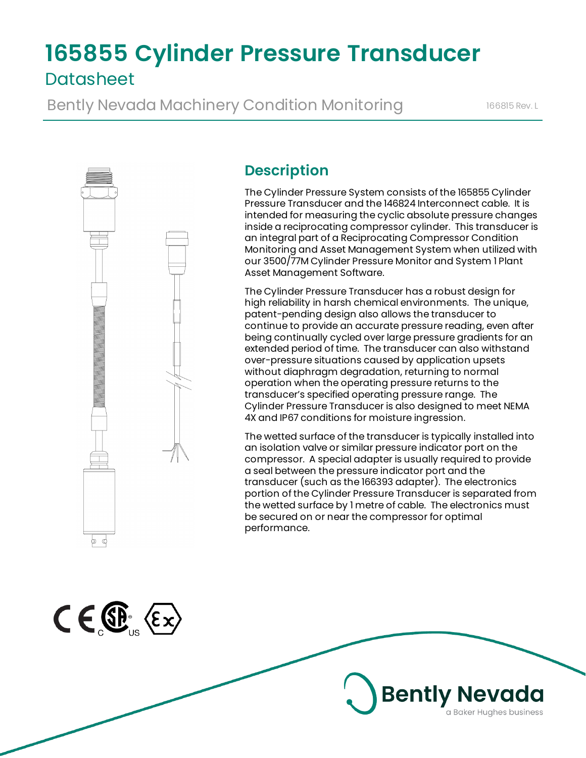# **165855 Cylinder Pressure Transducer Datasheet**

Bently Nevada Machinery Condition Monitoring 166815 Rev. L



 $C \in \mathbb{G}^{\mathbb{R}}$   $\langle \epsilon \times$ 

# **Description**

The Cylinder Pressure System consists of the 165855 Cylinder Pressure Transducer and the 146824 Interconnect cable. It is intended for measuring the cyclic absolute pressure changes inside a reciprocating compressor cylinder. This transducer is an integral part of a Reciprocating Compressor Condition Monitoring and Asset Management System when utilized with our 3500/77M Cylinder Pressure Monitor and System 1 Plant Asset Management Software.

The Cylinder Pressure Transducer has a robust design for high reliability in harsh chemical environments. The unique, patent-pending design also allows the transducer to continue to provide an accurate pressure reading, even after being continually cycled over large pressure gradients for an extended period of time. The transducer can also withstand over-pressure situations caused by application upsets without diaphragm degradation, returning to normal operation when the operating pressure returns to the transducer's specified operating pressure range. The Cylinder Pressure Transducer is also designed to meet NEMA 4X and IP67 conditions for moisture ingression.

The wetted surface of the transducer is typically installed into an isolation valve or similar pressure indicator port on the compressor. A special adapter is usually required to provide a seal between the pressure indicator port and the transducer (such as the 166393 adapter). The electronics portion of the Cylinder Pressure Transducer is separated from the wetted surface by 1 metre of cable. The electronics must be secured on or near the compressor for optimal performance.

**Bently Nevada** 

a Baker Hughes business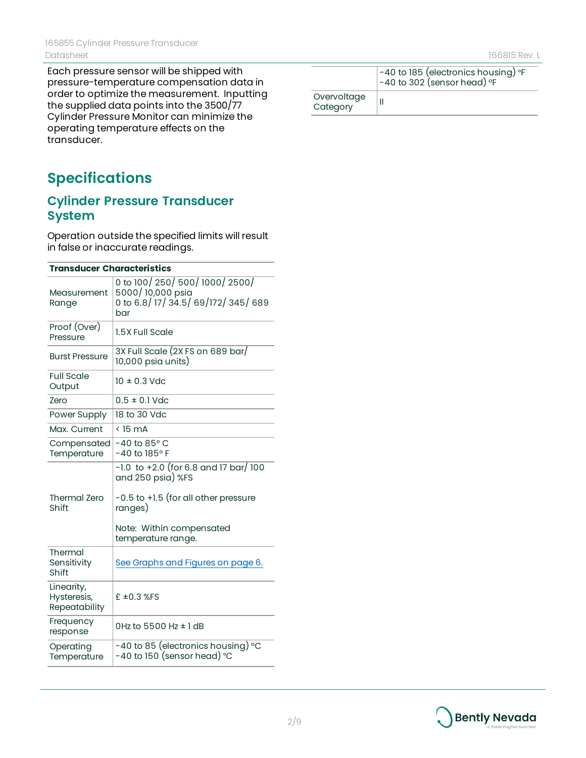Each pressure sensor will be shipped with pressure-temperature compensation data in order to optimize the measurement. Inputting the supplied data points into the 3500/77 Cylinder Pressure Monitor can minimize the operating temperature effects on the transducer.

# **Specifications**

#### **Cylinder Pressure Transducer System**

Operation outside the specified limits will result in false or inaccurate readings.

| <b>Transducer Characteristics</b>          |                                                                                           |  |  |
|--------------------------------------------|-------------------------------------------------------------------------------------------|--|--|
| Measurement<br>Range                       | 0 to 100/250/500/1000/2500/<br>5000/10,000 psia<br>0 to 6.8/17/34.5/69/172/345/689<br>bar |  |  |
| Proof (Over)<br>Pressure                   | 1.5X Full Scale                                                                           |  |  |
| <b>Burst Pressure</b>                      | 3X Full Scale (2X FS on 689 bar/<br>10,000 psia units)                                    |  |  |
| <b>Full Scale</b><br>Output                | $10 \pm 0.3$ Vdc                                                                          |  |  |
| Zero                                       | $0.5 \pm 0.1$ Vdc                                                                         |  |  |
| Power Supply                               | 18 to 30 Vdc                                                                              |  |  |
| Max. Current                               | $<$ 15 mA                                                                                 |  |  |
| Compensated<br>Temperature                 | $-40$ to 85 $\degree$ C<br>-40 to 185° F                                                  |  |  |
|                                            | $-1.0$ to $+2.0$ (for 6.8 and 17 bar/ 100<br>and 250 psia) %FS                            |  |  |
| <b>Thermal Zero</b><br>Shift               | -0.5 to +1.5 (for all other pressure<br>ranges)                                           |  |  |
|                                            | Note: Within compensated<br>temperature range.                                            |  |  |
| Thermal<br>Sensitivity<br>Shift            | See Graphs and Figures on page 6.                                                         |  |  |
| Linearity,<br>Hysteresis,<br>Repeatability | £ $\pm$ 0.3 %FS                                                                           |  |  |
| Frequency<br>response                      | 0Hz to 5500 Hz $\pm$ 1 dB                                                                 |  |  |
| Operating<br>Temperature                   | -40 to 85 (electronics housing) °C<br>-40 to 150 (sensor head) °C                         |  |  |

|                         | -40 to 185 (electronics housing) °F<br>$-40$ to 302 (sensor head) $\degree$ F |
|-------------------------|-------------------------------------------------------------------------------|
| Overvoltage<br>Category |                                                                               |

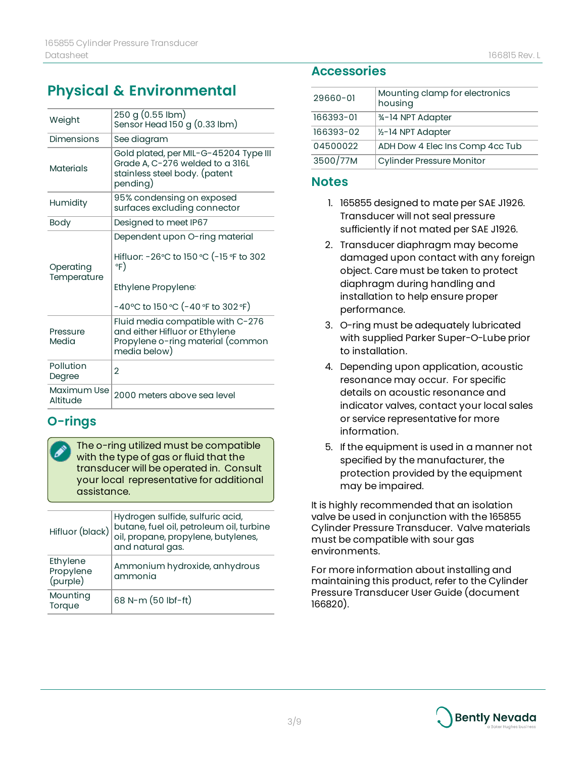| Weight                   | 250 g (0.55 lbm)<br>Sensor Head $150 g (0.33 lbm)$                                                                                            |  |  |
|--------------------------|-----------------------------------------------------------------------------------------------------------------------------------------------|--|--|
| Dimensions               | See diagram                                                                                                                                   |  |  |
| <b>Materials</b>         | Gold plated, per MIL-G-45204 Type III<br>Grade A, C-276 welded to a 316L<br>stainless steel body. (patent<br>pending)                         |  |  |
| Humidity                 | 95% condensing on exposed<br>surfaces excluding connector                                                                                     |  |  |
| Body                     | Designed to meet IP67                                                                                                                         |  |  |
| Operating<br>Temperature | Dependent upon O-ring material<br>Hifluor: -26°C to 150 °C (-15 °F to 302<br>∘F)<br>Ethylene Propylene:<br>-40°C to 150 °C (-40 °F to 302 °F) |  |  |
| Pressure<br>Media        | Fluid media compatible with C-276<br>and either Hifluor or Ethylene<br>Propylene o-ring material (common<br>media below)                      |  |  |
| Pollution<br>Degree      | $\overline{2}$                                                                                                                                |  |  |
| Maximum Use<br>Altitude  | 2000 meters above sea level                                                                                                                   |  |  |
|                          |                                                                                                                                               |  |  |

### **O-rings**

The o-ring utilized must be compatible with the type of gas or fluid that the transducer will be operated in. Consult your local representative for additional assistance.

| Hifluor (black)                   | Hydrogen sulfide, sulfuric acid,<br>butane, fuel oil, petroleum oil, turbine<br>oil, propane, propylene, butylenes,<br>and natural gas. |
|-----------------------------------|-----------------------------------------------------------------------------------------------------------------------------------------|
| Ethylene<br>Propylene<br>(purple) | Ammonium hydroxide, anhydrous<br>ammonia                                                                                                |
| Mounting<br>Torque                | 68 N-m (50 lbf-ft)                                                                                                                      |

#### **Accessories**

| 29660-01  | Mounting clamp for electronics<br>housing |
|-----------|-------------------------------------------|
| 166393-01 | 34-14 NPT Adapter                         |
| 166393-02 | 1/2-14 NPT Adapter                        |
| 04500022  | ADH Dow 4 Elec Ins Comp 4cc Tub           |
| 3500/77M  | <b>Cylinder Pressure Monitor</b>          |

#### **Notes**

- 1. 165855 designed to mate per SAE J1926. Transducer will not seal pressure sufficiently if not mated per SAE J1926.
- 2. Transducer diaphragm may become damaged upon contact with any foreign object. Care must be taken to protect diaphragm during handling and installation to help ensure proper performance.
- 3. O-ring must be adequately lubricated with supplied Parker Super-O-Lube prior to installation.
- 4. Depending upon application, acoustic resonance may occur. For specific details on acoustic resonance and indicator valves, contact your local sales or service representative for more information.
- 5. If the equipment is used in a manner not specified by the manufacturer, the protection provided by the equipment may be impaired.

It is highly recommended that an isolation valve be used in conjunction with the 165855 Cylinder Pressure Transducer. Valve materials must be compatible with sour gas environments.

For more information about installing and maintaining this product, refer to the Cylinder Pressure Transducer User Guide (document 166820).

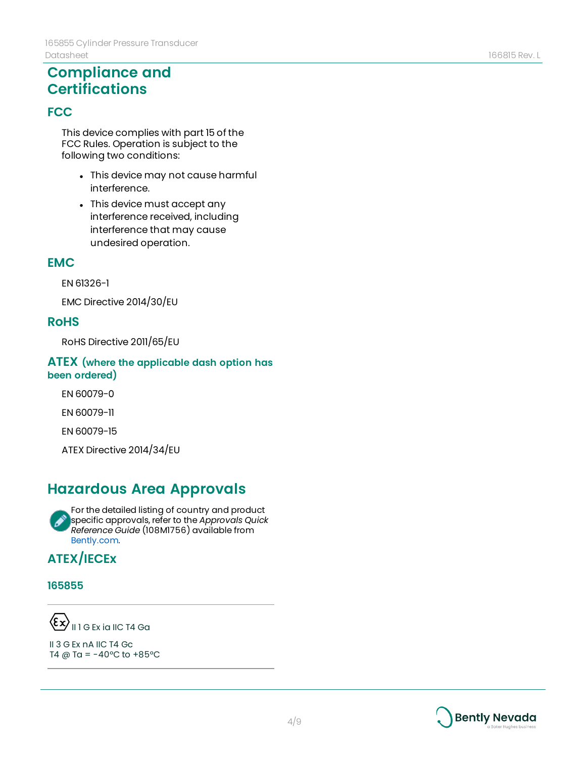### **Compliance and Certifications**

#### **FCC**

This device complies with part 15 of the FCC Rules. Operation is subject to the following two conditions:

- This device may not cause harmful interference.
- This device must accept any interference received, including interference that may cause undesired operation.

#### **EMC**

EN 61326-1

EMC Directive 2014/30/EU

#### **RoHS**

RoHS Directive 2011/65/EU

#### **ATEX (where the applicable dash option has been ordered)**

EN 60079-0

EN 60079-11

EN 60079-15

ATEX Directive 2014/34/EU

### **Hazardous Area Approvals**

For the detailed listing of country and product Í specific approvals, refer to the *Approvals Quick Reference Guide* (108M1756) available from [Bently.com.](http://www.bently.com/)

### **ATEX/IECEx**

#### **165855**

 $\left\langle \xi\bm{x}\right\rangle$  || 1 G Ex ia IIC T4 Ga

II 3 G Ex nA IIC T4 Gc T4 @ Ta =  $-40^{\circ}$ C to  $+85^{\circ}$ C

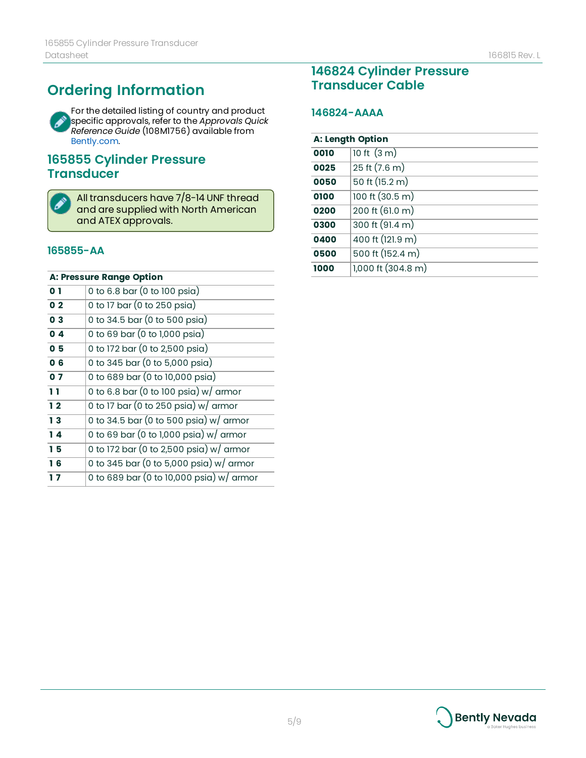# **Ordering Information**

For the detailed listing of country and product Í specific approvals, refer to the *Approvals Quick Reference Guide* (108M1756) available from [Bently.com.](http://www.bently.com/)

#### **Cylinder Pressure Transducer**



All transducers have 7/8-14 UNF thread and are supplied with North American and ATEX approvals.

#### **165855-AA**

| <b>A: Pressure Range Option</b> |                                                     |  |
|---------------------------------|-----------------------------------------------------|--|
| 0 <sub>1</sub>                  | 0 to 6.8 bar (0 to 100 psia)                        |  |
| 0 <sub>2</sub>                  | 0 to 17 bar (0 to 250 psia)                         |  |
| 0 <sub>3</sub>                  | 0 to 34.5 bar (0 to 500 psia)                       |  |
| 0 <sub>4</sub>                  | 0 to 69 bar (0 to 1,000 psia)                       |  |
| 05                              | 0 to 172 bar (0 to 2,500 psia)                      |  |
| 0 <sub>6</sub>                  | 0 to 345 bar (0 to 5,000 psia)                      |  |
| 07                              | 0 to 689 bar (0 to 10,000 psia)                     |  |
| 11                              | 0 to 6.8 bar (0 to 100 psia) $w/$ armor             |  |
| 12                              | 0 to 17 bar (0 to 250 psia) $w/$ armor              |  |
| 13                              | 0 to 34.5 bar (0 to 500 psia) $w/$ armor            |  |
| 14                              | 0 to 69 bar (0 to 1,000 psia) $w/$ armor            |  |
| 15                              | 0 to 172 bar (0 to 2,500 psia) w/ armor             |  |
| 16                              | 0 to 345 bar (0 to 5,000 psia) $\overline{w}$ armor |  |
| 17                              | 0 to 689 bar (0 to 10,000 psia) w/ armor            |  |

### **Cylinder Pressure Transducer Cable**

#### **146824-AAAA**

| <b>A: Length Option</b> |                                   |
|-------------------------|-----------------------------------|
| 0010                    | 10 ft $(3 m)$                     |
| 0025                    | 25 ft (7.6 m)                     |
| 0050                    | 50 ft (15.2 m)                    |
| 0100                    | $100 \text{ ft} (30.5 \text{ m})$ |
| 0200                    | 200 ft (61.0 m)                   |
| 0300                    | 300 ft (91.4 m)                   |
| 0400                    | 400 ft (121.9 m)                  |
| 0500                    | 500 ft (152.4 m)                  |
| 1000                    | 1,000 ft (304.8 m)                |

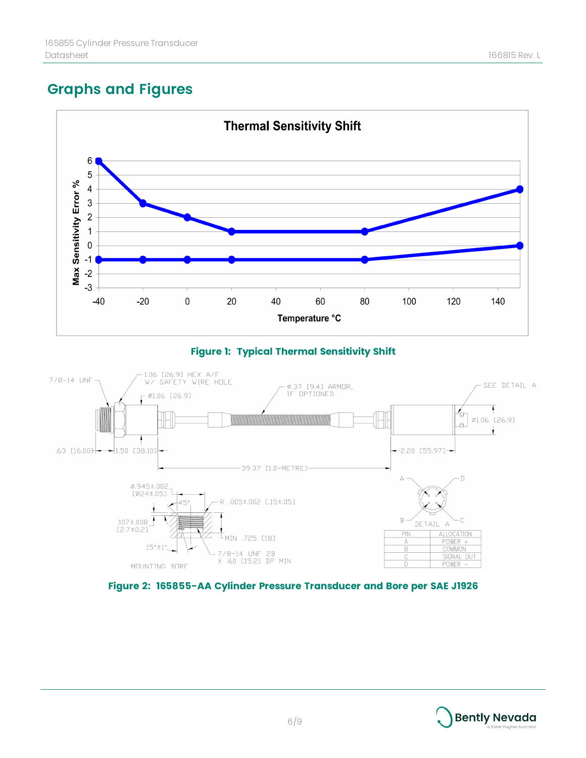## <span id="page-5-0"></span>**Graphs and Figures**



#### **Figure 1: Typical Thermal Sensitivity Shift**



#### **Figure 2: 165855-AA Cylinder Pressure Transducer and Bore per SAE J1926**

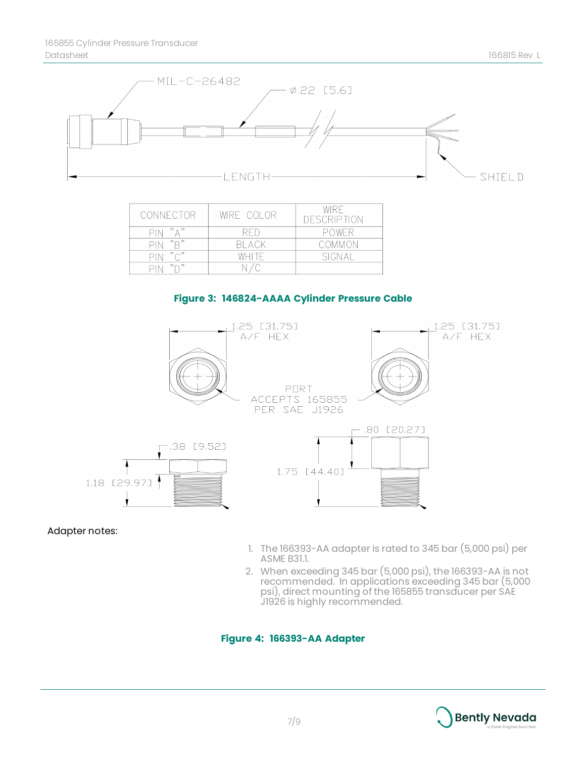

| CONNECTOR  | WIRE COLOR | WIRE<br><b>DESCRIPTION</b> |
|------------|------------|----------------------------|
| PIN "A"    | RFD        | POWER                      |
| " □"       | BI ACK     | COMMON                     |
| "∩"<br>PIN | WHITE      | SIGNAL                     |
| $" \cap "$ |            |                            |

#### **Figure 3: 146824-AAAA Cylinder Pressure Cable**



#### Adapter notes:

- 1. The 166393-AA adapter is rated to 345 bar (5,000 psi) per ASME B31.1.
- 2. When exceeding 345 bar (5,000 psi), the 166393-AA is not recommended. In applications exceeding 345 bar (5,000 psi), direct mounting of the 165855 transducer per SAE J1926 is highly recommended.

#### **Figure 4: 166393-AA Adapter**

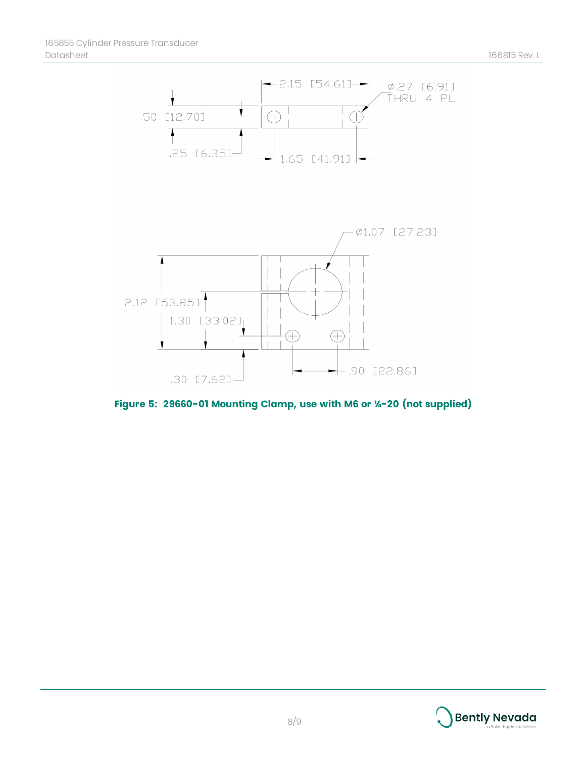

**Figure 5: 29660-01 Mounting Clamp, use with M6 or ¼-20 (not supplied)**